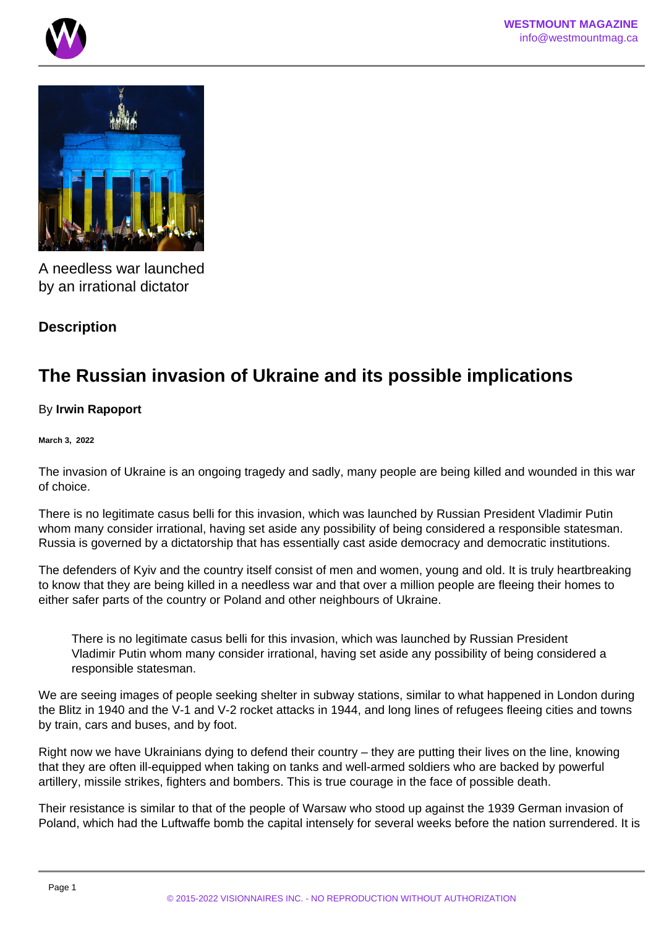



A needless war launched by an irrational dictator

# **Description**

# **The Russian invasion of Ukraine and its possible implications**

# By **Irwin Rapoport**

#### **March 3, 2022**

The invasion of Ukraine is an ongoing tragedy and sadly, many people are being killed and wounded in this war of choice.

There is no legitimate casus belli for this invasion, which was launched by Russian President Vladimir Putin whom many consider irrational, having set aside any possibility of being considered a responsible statesman. Russia is governed by a dictatorship that has essentially cast aside democracy and democratic institutions.

The defenders of Kyiv and the country itself consist of men and women, young and old. It is truly heartbreaking to know that they are being killed in a needless war and that over a million people are fleeing their homes to either safer parts of the country or Poland and other neighbours of Ukraine.

There is no legitimate casus belli for this invasion, which was launched by Russian President Vladimir Putin whom many consider irrational, having set aside any possibility of being considered a responsible statesman.

We are seeing images of people seeking shelter in subway stations, similar to what happened in London during the Blitz in 1940 and the V-1 and V-2 rocket attacks in 1944, and long lines of refugees fleeing cities and towns by train, cars and buses, and by foot.

Right now we have Ukrainians dying to defend their country – they are putting their lives on the line, knowing that they are often ill-equipped when taking on tanks and well-armed soldiers who are backed by powerful artillery, missile strikes, fighters and bombers. This is true courage in the face of possible death.

Their resistance is similar to that of the people of Warsaw who stood up against the 1939 German invasion of Poland, which had the Luftwaffe bomb the capital intensely for several weeks before the nation surrendered. It is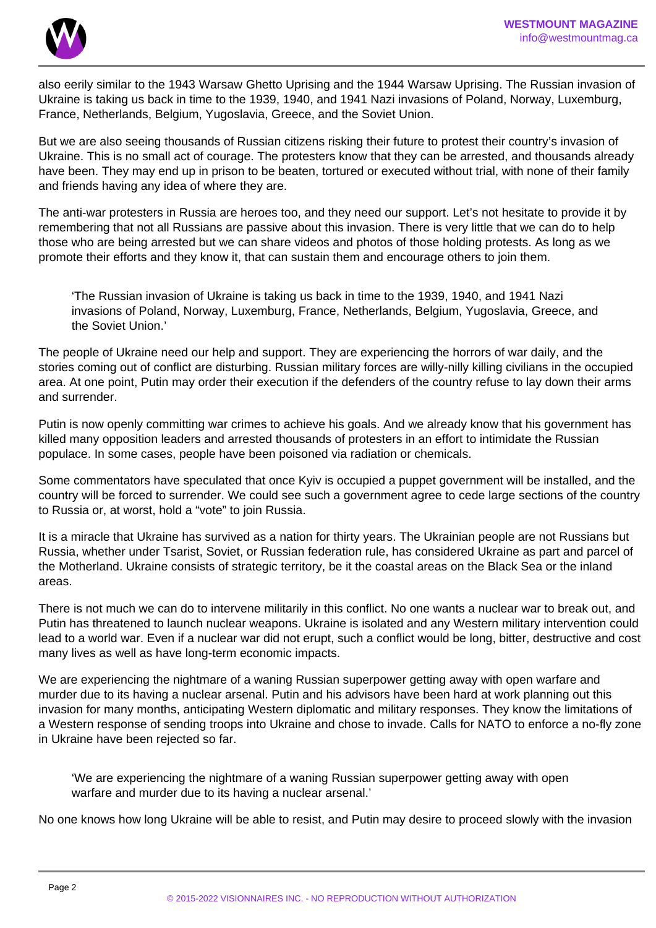

also eerily similar to the 1943 Warsaw Ghetto Uprising and the 1944 Warsaw Uprising. The Russian invasion of Ukraine is taking us back in time to the 1939, 1940, and 1941 Nazi invasions of Poland, Norway, Luxemburg, France, Netherlands, Belgium, Yugoslavia, Greece, and the Soviet Union.

But we are also seeing thousands of Russian citizens risking their future to protest their country's invasion of Ukraine. This is no small act of courage. The protesters know that they can be arrested, and thousands already have been. They may end up in prison to be beaten, tortured or executed without trial, with none of their family and friends having any idea of where they are.

The anti-war protesters in Russia are heroes too, and they need our support. Let's not hesitate to provide it by remembering that not all Russians are passive about this invasion. There is very little that we can do to help those who are being arrested but we can share videos and photos of those holding protests. As long as we promote their efforts and they know it, that can sustain them and encourage others to join them.

'The Russian invasion of Ukraine is taking us back in time to the 1939, 1940, and 1941 Nazi invasions of Poland, Norway, Luxemburg, France, Netherlands, Belgium, Yugoslavia, Greece, and the Soviet Union.'

The people of Ukraine need our help and support. They are experiencing the horrors of war daily, and the stories coming out of conflict are disturbing. Russian military forces are willy-nilly killing civilians in the occupied area. At one point, Putin may order their execution if the defenders of the country refuse to lay down their arms and surrender.

Putin is now openly committing war crimes to achieve his goals. And we already know that his government has killed many opposition leaders and arrested thousands of protesters in an effort to intimidate the Russian populace. In some cases, people have been poisoned via radiation or chemicals.

Some commentators have speculated that once Kyiv is occupied a puppet government will be installed, and the country will be forced to surrender. We could see such a government agree to cede large sections of the country to Russia or, at worst, hold a "vote" to join Russia.

It is a miracle that Ukraine has survived as a nation for thirty years. The Ukrainian people are not Russians but Russia, whether under Tsarist, Soviet, or Russian federation rule, has considered Ukraine as part and parcel of the Motherland. Ukraine consists of strategic territory, be it the coastal areas on the Black Sea or the inland areas.

There is not much we can do to intervene militarily in this conflict. No one wants a nuclear war to break out, and Putin has threatened to launch nuclear weapons. Ukraine is isolated and any Western military intervention could lead to a world war. Even if a nuclear war did not erupt, such a conflict would be long, bitter, destructive and cost many lives as well as have long-term economic impacts.

We are experiencing the nightmare of a waning Russian superpower getting away with open warfare and murder due to its having a nuclear arsenal. Putin and his advisors have been hard at work planning out this invasion for many months, anticipating Western diplomatic and military responses. They know the limitations of a Western response of sending troops into Ukraine and chose to invade. Calls for NATO to enforce a no-fly zone in Ukraine have been rejected so far.

'We are experiencing the nightmare of a waning Russian superpower getting away with open warfare and murder due to its having a nuclear arsenal.'

No one knows how long Ukraine will be able to resist, and Putin may desire to proceed slowly with the invasion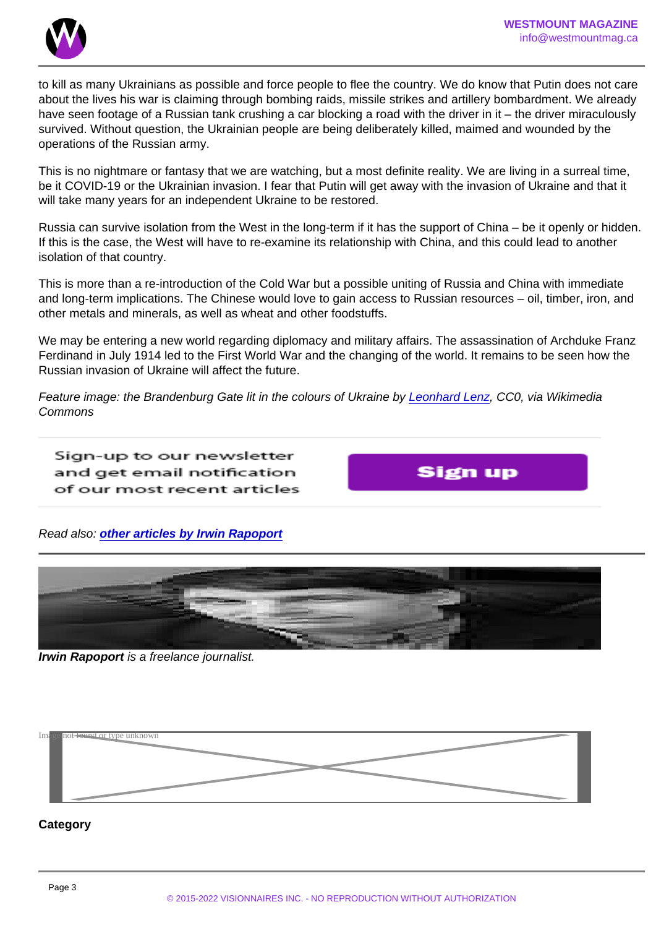to kill as many Ukrainians as possible and force people to flee the country. We do know that Putin does not care about the lives his war is claiming through bombing raids, missile strikes and artillery bombardment. We already have seen footage of a Russian tank crushing a car blocking a road with the driver in it – the driver miraculously survived. Without question, the Ukrainian people are being deliberately killed, maimed and wounded by the operations of the Russian army.

This is no nightmare or fantasy that we are watching, but a most definite reality. We are living in a surreal time, be it COVID-19 or the Ukrainian invasion. I fear that Putin will get away with the invasion of Ukraine and that it will take many years for an independent Ukraine to be restored.

Russia can survive isolation from the West in the long-term if it has the support of China – be it openly or hidden. If this is the case, the West will have to re-examine its relationship with China, and this could lead to another isolation of that country.

This is more than a re-introduction of the Cold War but a possible uniting of Russia and China with immediate and long-term implications. The Chinese would love to gain access to Russian resources – oil, timber, iron, and other metals and minerals, as well as wheat and other foodstuffs.

We may be entering a new world regarding diplomacy and military affairs. The assassination of Archduke Franz Ferdinand in July 1914 led to the First World War and the changing of the world. It remains to be seen how the Russian invasion of Ukraine will affect the future.

Feature image: the Brandenburg Gate lit in the colours of Ukraine by [Leonhard Lenz,](https://commons.wikimedia.org/wiki/File:Ukraine_solidarity_protest_Berlin_Pariser_Platz_with_lighted_Brandenburg_Gate_2022-02-24_07.jpg) CC0, via Wikimedia Commons

Read also: [other articles by Irwin Rapoport](https://www.westmountmag.ca/?s=Irwin+Rapoport)

Irwin Rapoport is a freelance journalist.

[Image not found or type unknown](https://c-eyewear.pxf.io/c/1129263/1160250/13092)

#### **Category**